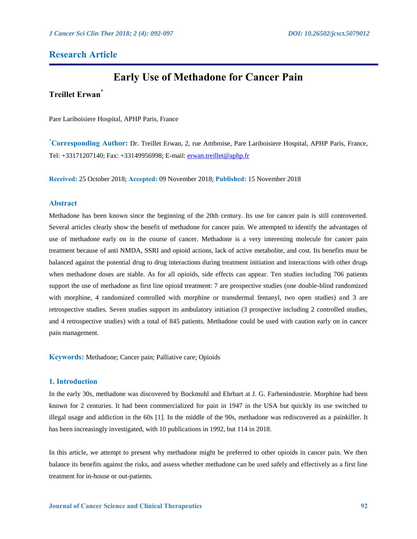# **Research Article**

# **Early Use of Methadone for Cancer Pain**

# **Treillet Erwan\***

Pare Lariboisiere Hospital, APHP Paris, France

**\*Corresponding Author:** Dr. Treillet Erwan, 2, rue Ambroise, Pare Lariboisiere Hospital, APHP Paris, France, Tel: +33171207140; Fax: +33149956998; E-mail:<erwan.treillet@aphp.fr>

**Received:** 25 October 2018; **Accepted:** 09 November 2018; **Published:** 15 November 2018

## **Abstract**

Methadone has been known since the beginning of the 20th century. Its use for cancer pain is still controverted. Several articles clearly show the benefit of methadone for cancer pain. We attempted to identify the advantages of use of methadone early on in the course of cancer. Methadone is a very interesting molecule for cancer pain treatment because of anti NMDA, SSRI and opioid actions, lack of active metabolite, and cost. Its benefits must be balanced against the potential drug to drug interactions during treatment initiation and interactions with other drugs when methadone doses are stable. As for all opioids, side effects can appear. Ten studies including 706 patients support the use of methadone as first line opioid treatment: 7 are prospective studies (one double-blind randomized with morphine, 4 randomized controlled with morphine or transdermal fentanyl, two open studies) and 3 are retrospective studies. Seven studies support its ambulatory initiation (3 prospective including 2 controlled studies, and 4 retrospective studies) with a total of 845 patients. Methadone could be used with caution early on in cancer pain management.

**Keywords:** Methadone; Cancer pain; Palliative care; Opioids

# **1. Introduction**

In the early 30s, methadone was discovered by Bockmuhl and Ehrhart at J. G. Farbenindustrie. Morphine had been known for 2 centuries. It had been commercialized for pain in 1947 in the USA but quickly its use switched to illegal usage and addiction in the 60s [1]. In the middle of the 90s, methadone was rediscovered as a painkiller. It has been increasingly investigated, with 10 publications in 1992, but 114 in 2018.

In this article, we attempt to present why methadone might be preferred to other opioids in cancer pain. We then balance its benefits against the risks, and assess whether methadone can be used safely and effectively as a first line treatment for in-house or out-patients.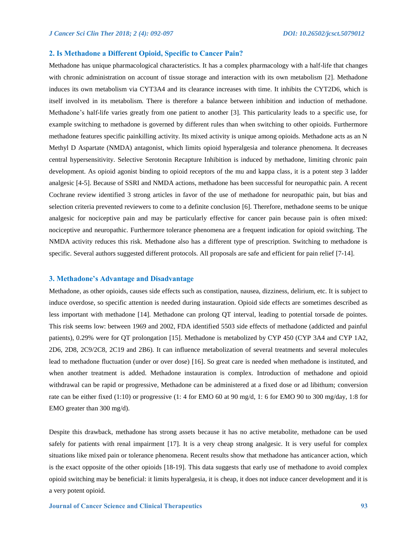#### **2. Is Methadone a Different Opioid, Specific to Cancer Pain?**

Methadone has unique pharmacological characteristics. It has a complex pharmacology with a half-life that changes with chronic administration on account of tissue storage and interaction with its own metabolism [2]. Methadone induces its own metabolism via CYT3A4 and its clearance increases with time. It inhibits the CYT2D6, which is itself involved in its metabolism. There is therefore a balance between inhibition and induction of methadone. Methadone's half-life varies greatly from one patient to another [3]. This particularity leads to a specific use, for example switching to methadone is governed by different rules than when switching to other opioids. Furthermore methadone features specific painkilling activity. Its mixed activity is unique among opioids. Methadone acts as an N Methyl D Aspartate (NMDA) antagonist, which limits opioid hyperalgesia and tolerance phenomena. It decreases central hypersensitivity. Selective Serotonin Recapture Inhibition is induced by methadone, limiting chronic pain development. As opioid agonist binding to opioid receptors of the mu and kappa class, it is a potent step 3 ladder analgesic [4-5]. Because of SSRI and NMDA actions, methadone has been successful for neuropathic pain. A recent Cochrane review identified 3 strong articles in favor of the use of methadone for neuropathic pain, but bias and selection criteria prevented reviewers to come to a definite conclusion [6]. Therefore, methadone seems to be unique analgesic for nociceptive pain and may be particularly effective for cancer pain because pain is often mixed: nociceptive and neuropathic. Furthermore tolerance phenomena are a frequent indication for opioid switching. The NMDA activity reduces this risk. Methadone also has a different type of prescription. Switching to methadone is specific. Several authors suggested different protocols. All proposals are safe and efficient for pain relief [7-14].

#### **3. Methadone's Advantage and Disadvantage**

Methadone, as other opioids, causes side effects such as constipation, nausea, dizziness, delirium, etc. It is subject to induce overdose, so specific attention is needed during instauration. Opioid side effects are sometimes described as less important with methadone [14]. Methadone can prolong QT interval, leading to potential torsade de pointes. This risk seems low: between 1969 and 2002, FDA identified 5503 side effects of methadone (addicted and painful patients), 0.29% were for QT prolongation [15]. Methadone is metabolized by CYP 450 (CYP 3A4 and CYP 1A2, 2D6, 2D8, 2C9/2C8, 2C19 and 2B6). It can influence metabolization of several treatments and several molecules lead to methadone fluctuation (under or over dose) [16]. So great care is needed when methadone is instituted, and when another treatment is added. Methadone instauration is complex. Introduction of methadone and opioid withdrawal can be rapid or progressive, Methadone can be administered at a fixed dose or ad libithum; conversion rate can be either fixed (1:10) or progressive (1: 4 for EMO 60 at 90 mg/d, 1: 6 for EMO 90 to 300 mg/day, 1:8 for EMO greater than 300 mg/d).

Despite this drawback, methadone has strong assets because it has no active metabolite, methadone can be used safely for patients with renal impairment [17]. It is a very cheap strong analgesic. It is very useful for complex situations like mixed pain or tolerance phenomena. Recent results show that methadone has anticancer action, which is the exact opposite of the other opioids [18-19]. This data suggests that early use of methadone to avoid complex opioid switching may be beneficial: it limits hyperalgesia, it is cheap, it does not induce cancer development and it is a very potent opioid.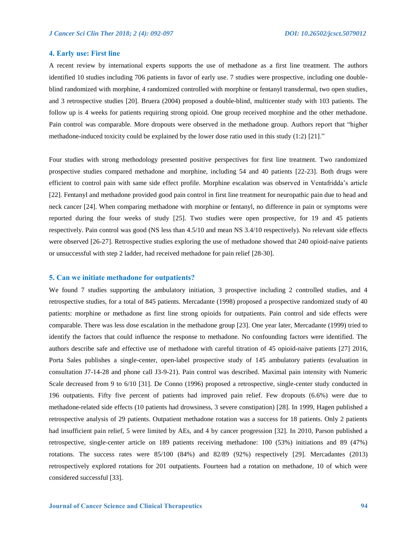#### **4. Early use: First line**

A recent review by international experts supports the use of methadone as a first line treatment. The authors identified 10 studies including 706 patients in favor of early use. 7 studies were prospective, including one doubleblind randomized with morphine, 4 randomized controlled with morphine or fentanyl transdermal, two open studies, and 3 retrospective studies [20]. Bruera (2004) proposed a double-blind, multicenter study with 103 patients. The follow up is 4 weeks for patients requiring strong opioid. One group received morphine and the other methadone. Pain control was comparable. More dropouts were observed in the methadone group. Authors report that "higher methadone-induced toxicity could be explained by the lower dose ratio used in this study (1:2) [21]."

Four studies with strong methodology presented positive perspectives for first line treatment. Two randomized prospective studies compared methadone and morphine, including 54 and 40 patients [22-23]. Both drugs were efficient to control pain with same side effect profile. Morphine escalation was observed in Ventafridda's article [22]. Fentanyl and methadone provided good pain control in first line treatment for neuropathic pain due to head and neck cancer [24]. When comparing methadone with morphine or fentanyl, no difference in pain or symptoms were reported during the four weeks of study [25]. Two studies were open prospective, for 19 and 45 patients respectively. Pain control was good (NS less than 4.5/10 and mean NS 3.4/10 respectively). No relevant side effects were observed [26-27]. Retrospective studies exploring the use of methadone showed that 240 opioid-naive patients or unsuccessful with step 2 ladder, had received methadone for pain relief [28-30].

#### **5. Can we initiate methadone for outpatients?**

We found 7 studies supporting the ambulatory initiation, 3 prospective including 2 controlled studies, and 4 retrospective studies, for a total of 845 patients. Mercadante (1998) proposed a prospective randomized study of 40 patients: morphine or methadone as first line strong opioids for outpatients. Pain control and side effects were comparable. There was less dose escalation in the methadone group [23]. One year later, Mercadante (1999) tried to identify the factors that could influence the response to methadone. No confounding factors were identified. The authors describe safe and effective use of methadone with careful titration of 45 opioid-naive patients [27] 2016, Porta Sales publishes a single-center, open-label prospective study of 145 ambulatory patients (evaluation in consultation J7-14-28 and phone call J3-9-21). Pain control was described. Maximal pain intensity with Numeric Scale decreased from 9 to 6/10 [31]. De Conno (1996) proposed a retrospective, single-center study conducted in 196 outpatients. Fifty five percent of patients had improved pain relief. Few dropouts (6.6%) were due to methadone-related side effects (10 patients had drowsiness, 3 severe constipation) [28]. In 1999, Hagen published a retrospective analysis of 29 patients. Outpatient methadone rotation was a success for 18 patients. Only 2 patients had insufficient pain relief, 5 were limited by AEs, and 4 by cancer progression [32]. In 2010, Parson published a retrospective, single-center article on 189 patients receiving methadone: 100 (53%) initiations and 89 (47%) rotations. The success rates were 85/100 (84%) and 82/89 (92%) respectively [29]. Mercadantes (2013) retrospectively explored rotations for 201 outpatients. Fourteen had a rotation on methadone, 10 of which were considered successful [33].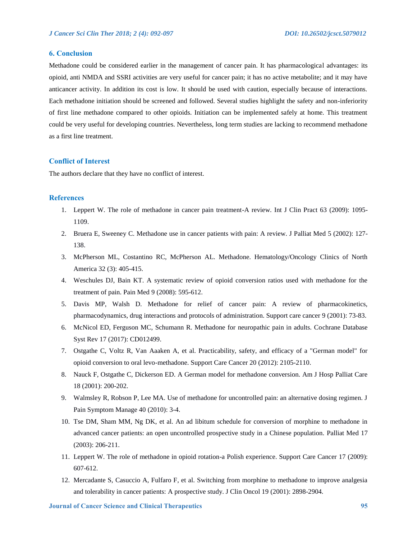# **6. Conclusion**

Methadone could be considered earlier in the management of cancer pain. It has pharmacological advantages: its opioid, anti NMDA and SSRI activities are very useful for cancer pain; it has no active metabolite; and it may have anticancer activity. In addition its cost is low. It should be used with caution, especially because of interactions. Each methadone initiation should be screened and followed. Several studies highlight the safety and non-inferiority of first line methadone compared to other opioids. Initiation can be implemented safely at home. This treatment could be very useful for developing countries. Nevertheless, long term studies are lacking to recommend methadone as a first line treatment.

# **Conflict of Interest**

The authors declare that they have no conflict of interest.

### **References**

- 1. Leppert W. The role of methadone in cancer pain treatment-A review. Int J Clin Pract 63 (2009): 1095- 1109.
- 2. Bruera E, Sweeney C. Methadone use in cancer patients with pain: A review. J Palliat Med 5 (2002): 127- 138.
- 3. McPherson ML, Costantino RC, McPherson AL. Methadone. Hematology/Oncology Clinics of North America 32 (3): 405-415.
- 4. Weschules DJ, Bain KT. A systematic review of opioid conversion ratios used with methadone for the treatment of pain. Pain Med 9 (2008): 595-612.
- 5. Davis MP, Walsh D. Methadone for relief of cancer pain: A review of pharmacokinetics, pharmacodynamics, drug interactions and protocols of administration. Support care cancer 9 (2001): 73-83.
- 6. McNicol ED, Ferguson MC, Schumann R. Methadone for neuropathic pain in adults. Cochrane Database Syst Rev 17 (2017): CD012499.
- 7. Ostgathe C, Voltz R, Van Aaaken A, et al. Practicability, safety, and efficacy of a "German model" for opioid conversion to oral levo-methadone. Support Care Cancer 20 (2012): 2105-2110.
- 8. Nauck F, Ostgathe C, Dickerson ED. A German model for methadone conversion. Am J Hosp Palliat Care 18 (2001): 200-202.
- 9. Walmsley R, Robson P, Lee MA. Use of methadone for uncontrolled pain: an alternative dosing regimen. J Pain Symptom Manage 40 (2010): 3-4.
- 10. Tse DM, Sham MM, Ng DK, et al. An ad libitum schedule for conversion of morphine to methadone in advanced cancer patients: an open uncontrolled prospective study in a Chinese population. Palliat Med 17 (2003): 206-211.
- 11. Leppert W. The role of methadone in opioid rotation-a Polish experience. Support Care Cancer 17 (2009): 607-612.
- 12. Mercadante S, Casuccio A, Fulfaro F, et al. Switching from morphine to methadone to improve analgesia and tolerability in cancer patients: A prospective study. J Clin Oncol 19 (2001): 2898-2904.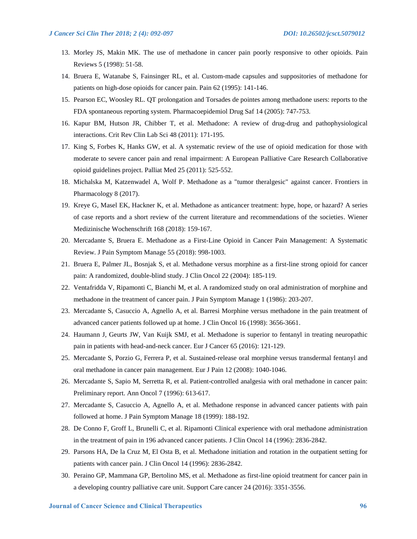- 13. Morley JS, Makin MK. The use of methadone in cancer pain poorly responsive to other opioids. Pain Reviews 5 (1998): 51-58.
- 14. Bruera E, Watanabe S, Fainsinger RL, et al. Custom-made capsules and suppositories of methadone for patients on high-dose opioids for cancer pain. Pain 62 (1995): 141-146.
- 15. Pearson EC, Woosley RL. QT prolongation and Torsades de pointes among methadone users: reports to the FDA spontaneous reporting system. Pharmacoepidemiol Drug Saf 14 (2005): 747-753.
- 16. Kapur BM, Hutson JR, Chibber T, et al. Methadone: A review of drug-drug and pathophysiological interactions. Crit Rev Clin Lab Sci 48 (2011): 171-195.
- 17. King S, Forbes K, Hanks GW, et al. A systematic review of the use of opioid medication for those with moderate to severe cancer pain and renal impairment: A European Palliative Care Research Collaborative opioid guidelines project. Palliat Med 25 (2011): 525-552.
- 18. Michalska M, Katzenwadel A, Wolf P. Methadone as a "tumor theralgesic" against cancer. Frontiers in Pharmacology 8 (2017).
- 19. Kreye G, Masel EK, Hackner K, et al. Methadone as anticancer treatment: hype, hope, or hazard? A series of case reports and a short review of the current literature and recommendations of the societies. Wiener Medizinische Wochenschrift 168 (2018): 159-167.
- 20. Mercadante S, Bruera E. Methadone as a First-Line Opioid in Cancer Pain Management: A Systematic Review. J Pain Symptom Manage 55 (2018): 998-1003.
- 21. Bruera E, Palmer JL, Bosnjak S, et al. Methadone versus morphine as a first-line strong opioid for cancer pain: A randomized, double-blind study. J Clin Oncol 22 (2004): 185-119.
- 22. Ventafridda V, Ripamonti C, Bianchi M, et al. A randomized study on oral administration of morphine and methadone in the treatment of cancer pain. J Pain Symptom Manage 1 (1986): 203-207.
- 23. Mercadante S, Casuccio A, Agnello A, et al. Barresi Morphine versus methadone in the pain treatment of advanced cancer patients followed up at home. J Clin Oncol 16 (1998): 3656-3661.
- 24. Haumann J, Geurts JW, Van Kuijk SMJ, et al. Methadone is superior to fentanyl in treating neuropathic pain in patients with head-and-neck cancer. Eur J Cancer 65 (2016): 121-129.
- 25. Mercadante S, Porzio G, Ferrera P, et al. Sustained-release oral morphine versus transdermal fentanyl and oral methadone in cancer pain management. Eur J Pain 12 (2008): 1040-1046.
- 26. Mercadante S, Sapio M, Serretta R, et al. Patient-controlled analgesia with oral methadone in cancer pain: Preliminary report. Ann Oncol 7 (1996): 613-617.
- 27. Mercadante S, Casuccio A, Agnello A, et al. Methadone response in advanced cancer patients with pain followed at home. J Pain Symptom Manage 18 (1999): 188-192.
- 28. De Conno F, Groff L, Brunelli C, et al. Ripamonti Clinical experience with oral methadone administration in the treatment of pain in 196 advanced cancer patients. J Clin Oncol 14 (1996): 2836-2842.
- 29. Parsons HA, De la Cruz M, El Osta B, et al. Methadone initiation and rotation in the outpatient setting for patients with cancer pain. J Clin Oncol 14 (1996): 2836-2842.
- 30. Peraino GP, Mammana GP, Bertolino MS, et al. Methadone as first-line opioid treatment for cancer pain in a developing country palliative care unit. Support Care cancer 24 (2016): 3351-3556.